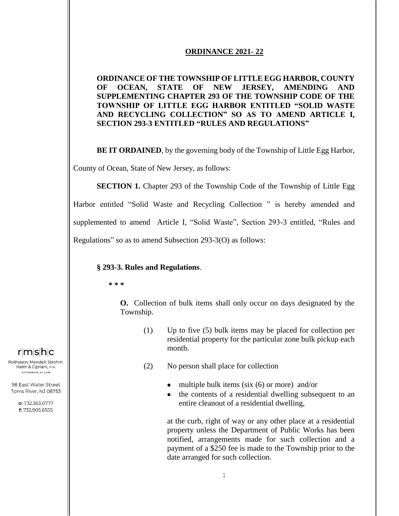#### **ORDINANCE 2021- 22**

## **ORDINANCE OF THE TOWNSHIP OF LITTLE EGG HARBOR, COUNTY OF OCEAN, STATE OF NEW JERSEY, AMENDING AND SUPPLEMENTING CHAPTER 293 OF THE TOWNSHIP CODE OF THE TOWNSHIP OF LITTLE EGG HARBOR ENTITLED "SOLID WASTE AND RECYCLING COLLECTION" SO AS TO AMEND ARTICLE I, SECTION 293-3 ENTITLED "RULES AND REGULATIONS"**

**BE IT ORDAINED**, by the governing body of the Township of Little Egg Harbor,

County of Ocean, State of New Jersey, as follows:

**SECTION 1.** Chapter 293 of the Township Code of the Township of Little Egg

Harbor entitled "Solid Waste and Recycling Collection " is hereby amended and supplemented to amend Article I, "Solid Waste", Section 293-3 entitled, "Rules and Regulations" so as to amend Subsection 293-3(O) as follows:

### **§ 293-3. Rules and Regulations**.

**\* \* \***

**O.** Collection of bulk items shall only occur on days designated by the Township.

- (1) Up to five (5) bulk items may be placed for collection per residential property for the particular zone bulk pickup each month.
- (2) No person shall place for collection
	- multiple bulk items (six  $(6)$  or more) and/or
	- the contents of a residential dwelling subsequent to an entire cleanout of a residential dwelling,

at the curb, right of way or any other place at a residential property unless the Department of Public Works has been notified, arrangements made for such collection and a payment of a \$250 fee is made to the Township prior to the date arranged for such collection.

# $r|m|s|h|c$

Rothstein, Mandell, Strohm, Halm & Cipriani, P.A. ATTORNEYS AT LAW

98 East Water Street Toms River, NJ 08753

> o: 732.363.0777 f: 732.905.6555